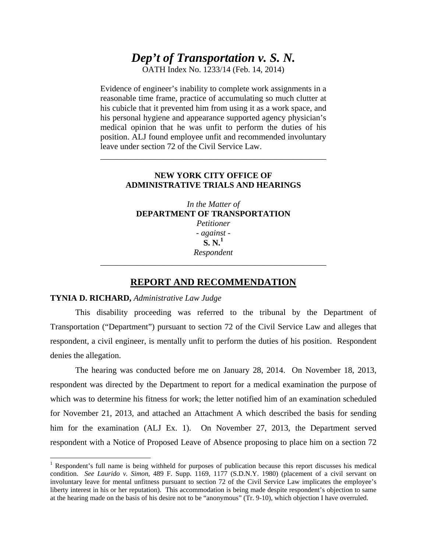# *Dep't of Transportation v. S. N.*

OATH Index No. 1233/14 (Feb. 14, 2014)

Evidence of engineer's inability to complete work assignments in a reasonable time frame, practice of accumulating so much clutter at his cubicle that it prevented him from using it as a work space, and his personal hygiene and appearance supported agency physician's medical opinion that he was unfit to perform the duties of his position. ALJ found employee unfit and recommended involuntary leave under section 72 of the Civil Service Law.

### **NEW YORK CITY OFFICE OF ADMINISTRATIVE TRIALS AND HEARINGS**

\_\_\_\_\_\_\_\_\_\_\_\_\_\_\_\_\_\_\_\_\_\_\_\_\_\_\_\_\_\_\_\_\_\_\_\_\_\_\_\_\_\_\_\_\_\_\_\_\_\_\_\_\_\_

*In the Matter of*  **DEPARTMENT OF TRANSPORTATION**  *Petitioner - against -*  **S. N.<sup>1</sup>** *Respondent* 

## **REPORT AND RECOMMENDATION**

\_\_\_\_\_\_\_\_\_\_\_\_\_\_\_\_\_\_\_\_\_\_\_\_\_\_\_\_\_\_\_\_\_\_\_\_\_\_\_\_\_\_\_\_\_\_\_\_\_\_\_\_\_\_

#### **TYNIA D. RICHARD,** *Administrative Law Judge*

 $\overline{a}$ 

This disability proceeding was referred to the tribunal by the Department of Transportation ("Department") pursuant to section 72 of the Civil Service Law and alleges that respondent, a civil engineer, is mentally unfit to perform the duties of his position. Respondent denies the allegation.

The hearing was conducted before me on January 28, 2014. On November 18, 2013, respondent was directed by the Department to report for a medical examination the purpose of which was to determine his fitness for work; the letter notified him of an examination scheduled for November 21, 2013, and attached an Attachment A which described the basis for sending him for the examination (ALJ Ex. 1). On November 27, 2013, the Department served respondent with a Notice of Proposed Leave of Absence proposing to place him on a section 72

<sup>&</sup>lt;sup>1</sup> Respondent's full name is being withheld for purposes of publication because this report discusses his medical condition. *See Laurido v. Simon*, 489 F. Supp. 1169, 1177 (S.D.N.Y. 1980) (placement of a civil servant on involuntary leave for mental unfitness pursuant to section 72 of the Civil Service Law implicates the employee's liberty interest in his or her reputation). This accommodation is being made despite respondent's objection to same at the hearing made on the basis of his desire not to be "anonymous" (Tr. 9-10), which objection I have overruled.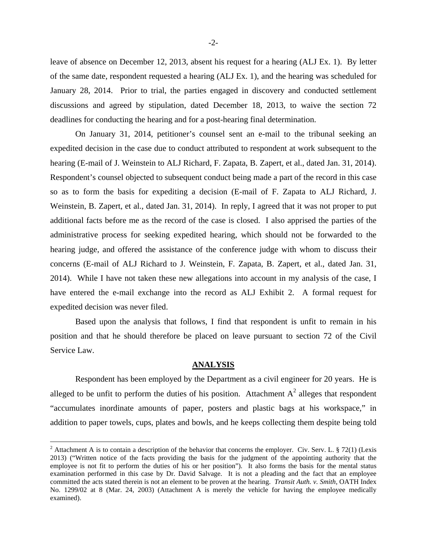leave of absence on December 12, 2013, absent his request for a hearing (ALJ Ex. 1). By letter of the same date, respondent requested a hearing (ALJ Ex. 1), and the hearing was scheduled for January 28, 2014. Prior to trial, the parties engaged in discovery and conducted settlement discussions and agreed by stipulation, dated December 18, 2013, to waive the section 72 deadlines for conducting the hearing and for a post-hearing final determination.

On January 31, 2014, petitioner's counsel sent an e-mail to the tribunal seeking an expedited decision in the case due to conduct attributed to respondent at work subsequent to the hearing (E-mail of J. Weinstein to ALJ Richard, F. Zapata, B. Zapert, et al., dated Jan. 31, 2014). Respondent's counsel objected to subsequent conduct being made a part of the record in this case so as to form the basis for expediting a decision (E-mail of F. Zapata to ALJ Richard, J. Weinstein, B. Zapert, et al., dated Jan. 31, 2014). In reply, I agreed that it was not proper to put additional facts before me as the record of the case is closed. I also apprised the parties of the administrative process for seeking expedited hearing, which should not be forwarded to the hearing judge, and offered the assistance of the conference judge with whom to discuss their concerns (E-mail of ALJ Richard to J. Weinstein, F. Zapata, B. Zapert, et al., dated Jan. 31, 2014). While I have not taken these new allegations into account in my analysis of the case, I have entered the e-mail exchange into the record as ALJ Exhibit 2. A formal request for expedited decision was never filed.

Based upon the analysis that follows, I find that respondent is unfit to remain in his position and that he should therefore be placed on leave pursuant to section 72 of the Civil Service Law.

#### **ANALYSIS**

Respondent has been employed by the Department as a civil engineer for 20 years. He is alleged to be unfit to perform the duties of his position. Attachment  $A^2$  alleges that respondent "accumulates inordinate amounts of paper, posters and plastic bags at his workspace," in addition to paper towels, cups, plates and bowls, and he keeps collecting them despite being told

 $\overline{a}$ 

<sup>&</sup>lt;sup>2</sup> Attachment A is to contain a description of the behavior that concerns the employer. Civ. Serv. L. § 72(1) (Lexis 2013) ("Written notice of the facts providing the basis for the judgment of the appointing authority that the employee is not fit to perform the duties of his or her position"). It also forms the basis for the mental status examination performed in this case by Dr. David Salvage. It is not a pleading and the fact that an employee committed the acts stated therein is not an element to be proven at the hearing. *Transit Auth. v. Smith*, OATH Index No. 1299/02 at 8 (Mar. 24, 2003) (Attachment A is merely the vehicle for having the employee medically examined).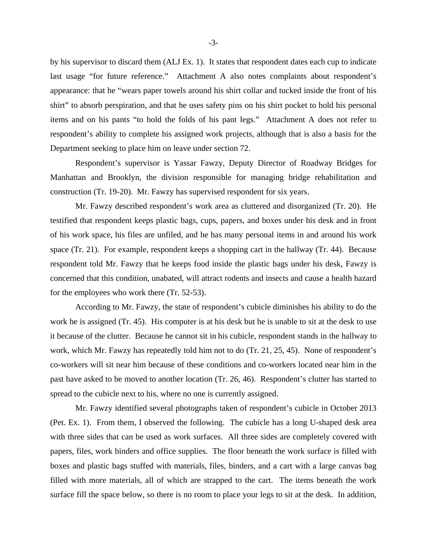by his supervisor to discard them (ALJ Ex. 1). It states that respondent dates each cup to indicate last usage "for future reference." Attachment A also notes complaints about respondent's appearance: that he "wears paper towels around his shirt collar and tucked inside the front of his shirt" to absorb perspiration, and that he uses safety pins on his shirt pocket to hold his personal items and on his pants "to hold the folds of his pant legs." Attachment A does not refer to respondent's ability to complete his assigned work projects, although that is also a basis for the Department seeking to place him on leave under section 72.

Respondent's supervisor is Yassar Fawzy, Deputy Director of Roadway Bridges for Manhattan and Brooklyn, the division responsible for managing bridge rehabilitation and construction (Tr. 19-20). Mr. Fawzy has supervised respondent for six years.

Mr. Fawzy described respondent's work area as cluttered and disorganized (Tr. 20). He testified that respondent keeps plastic bags, cups, papers, and boxes under his desk and in front of his work space, his files are unfiled, and he has many personal items in and around his work space (Tr. 21). For example, respondent keeps a shopping cart in the hallway (Tr. 44). Because respondent told Mr. Fawzy that he keeps food inside the plastic bags under his desk, Fawzy is concerned that this condition, unabated, will attract rodents and insects and cause a health hazard for the employees who work there (Tr. 52-53).

According to Mr. Fawzy, the state of respondent's cubicle diminishes his ability to do the work he is assigned (Tr. 45). His computer is at his desk but he is unable to sit at the desk to use it because of the clutter. Because he cannot sit in his cubicle, respondent stands in the hallway to work, which Mr. Fawzy has repeatedly told him not to do (Tr. 21, 25, 45). None of respondent's co-workers will sit near him because of these conditions and co-workers located near him in the past have asked to be moved to another location (Tr. 26, 46). Respondent's clutter has started to spread to the cubicle next to his, where no one is currently assigned.

Mr. Fawzy identified several photographs taken of respondent's cubicle in October 2013 (Pet. Ex. 1). From them, I observed the following. The cubicle has a long U-shaped desk area with three sides that can be used as work surfaces. All three sides are completely covered with papers, files, work binders and office supplies. The floor beneath the work surface is filled with boxes and plastic bags stuffed with materials, files, binders, and a cart with a large canvas bag filled with more materials, all of which are strapped to the cart. The items beneath the work surface fill the space below, so there is no room to place your legs to sit at the desk. In addition,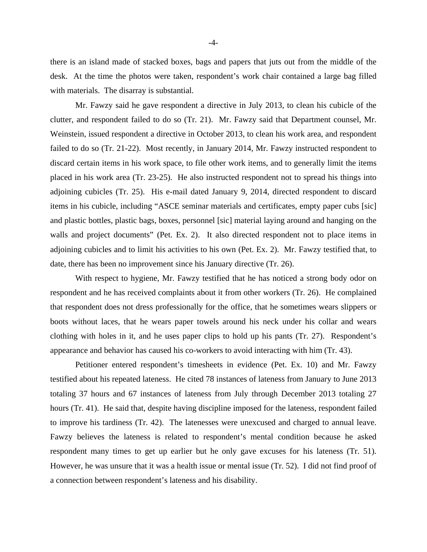there is an island made of stacked boxes, bags and papers that juts out from the middle of the desk. At the time the photos were taken, respondent's work chair contained a large bag filled with materials. The disarray is substantial.

Mr. Fawzy said he gave respondent a directive in July 2013, to clean his cubicle of the clutter, and respondent failed to do so (Tr. 21). Mr. Fawzy said that Department counsel, Mr. Weinstein, issued respondent a directive in October 2013, to clean his work area, and respondent failed to do so (Tr. 21-22). Most recently, in January 2014, Mr. Fawzy instructed respondent to discard certain items in his work space, to file other work items, and to generally limit the items placed in his work area (Tr. 23-25). He also instructed respondent not to spread his things into adjoining cubicles (Tr. 25). His e-mail dated January 9, 2014, directed respondent to discard items in his cubicle, including "ASCE seminar materials and certificates, empty paper cubs [sic] and plastic bottles, plastic bags, boxes, personnel [sic] material laying around and hanging on the walls and project documents" (Pet. Ex. 2). It also directed respondent not to place items in adjoining cubicles and to limit his activities to his own (Pet. Ex. 2). Mr. Fawzy testified that, to date, there has been no improvement since his January directive (Tr. 26).

With respect to hygiene, Mr. Fawzy testified that he has noticed a strong body odor on respondent and he has received complaints about it from other workers (Tr. 26). He complained that respondent does not dress professionally for the office, that he sometimes wears slippers or boots without laces, that he wears paper towels around his neck under his collar and wears clothing with holes in it, and he uses paper clips to hold up his pants (Tr. 27). Respondent's appearance and behavior has caused his co-workers to avoid interacting with him (Tr. 43).

Petitioner entered respondent's timesheets in evidence (Pet. Ex. 10) and Mr. Fawzy testified about his repeated lateness. He cited 78 instances of lateness from January to June 2013 totaling 37 hours and 67 instances of lateness from July through December 2013 totaling 27 hours (Tr. 41). He said that, despite having discipline imposed for the lateness, respondent failed to improve his tardiness (Tr. 42). The latenesses were unexcused and charged to annual leave. Fawzy believes the lateness is related to respondent's mental condition because he asked respondent many times to get up earlier but he only gave excuses for his lateness (Tr. 51). However, he was unsure that it was a health issue or mental issue (Tr. 52). I did not find proof of a connection between respondent's lateness and his disability.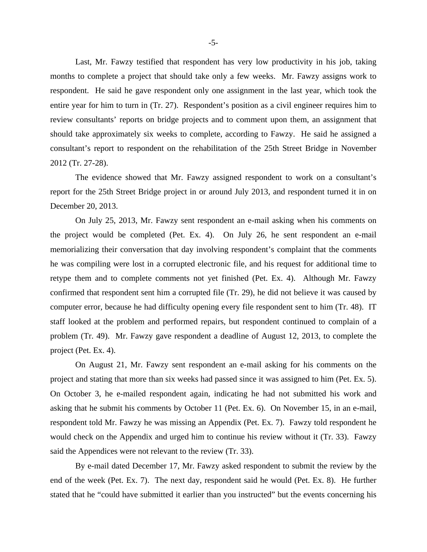Last, Mr. Fawzy testified that respondent has very low productivity in his job, taking months to complete a project that should take only a few weeks. Mr. Fawzy assigns work to respondent. He said he gave respondent only one assignment in the last year, which took the entire year for him to turn in (Tr. 27). Respondent's position as a civil engineer requires him to review consultants' reports on bridge projects and to comment upon them, an assignment that should take approximately six weeks to complete, according to Fawzy. He said he assigned a consultant's report to respondent on the rehabilitation of the 25th Street Bridge in November 2012 (Tr. 27-28).

The evidence showed that Mr. Fawzy assigned respondent to work on a consultant's report for the 25th Street Bridge project in or around July 2013, and respondent turned it in on December 20, 2013.

On July 25, 2013, Mr. Fawzy sent respondent an e-mail asking when his comments on the project would be completed (Pet. Ex. 4). On July 26, he sent respondent an e-mail memorializing their conversation that day involving respondent's complaint that the comments he was compiling were lost in a corrupted electronic file, and his request for additional time to retype them and to complete comments not yet finished (Pet. Ex. 4). Although Mr. Fawzy confirmed that respondent sent him a corrupted file (Tr. 29), he did not believe it was caused by computer error, because he had difficulty opening every file respondent sent to him (Tr. 48). IT staff looked at the problem and performed repairs, but respondent continued to complain of a problem (Tr. 49). Mr. Fawzy gave respondent a deadline of August 12, 2013, to complete the project (Pet. Ex. 4).

On August 21, Mr. Fawzy sent respondent an e-mail asking for his comments on the project and stating that more than six weeks had passed since it was assigned to him (Pet. Ex. 5). On October 3, he e-mailed respondent again, indicating he had not submitted his work and asking that he submit his comments by October 11 (Pet. Ex. 6). On November 15, in an e-mail, respondent told Mr. Fawzy he was missing an Appendix (Pet. Ex. 7). Fawzy told respondent he would check on the Appendix and urged him to continue his review without it (Tr. 33). Fawzy said the Appendices were not relevant to the review (Tr. 33).

By e-mail dated December 17, Mr. Fawzy asked respondent to submit the review by the end of the week (Pet. Ex. 7). The next day, respondent said he would (Pet. Ex. 8). He further stated that he "could have submitted it earlier than you instructed" but the events concerning his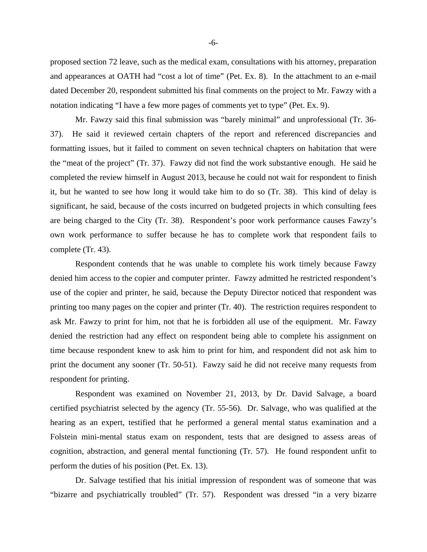proposed section 72 leave, such as the medical exam, consultations with his attorney, preparation and appearances at OATH had "cost a lot of time" (Pet. Ex. 8). In the attachment to an e-mail dated December 20, respondent submitted his final comments on the project to Mr. Fawzy with a notation indicating "I have a few more pages of comments yet to type" (Pet. Ex. 9).

Mr. Fawzy said this final submission was "barely minimal" and unprofessional (Tr. 36- 37). He said it reviewed certain chapters of the report and referenced discrepancies and formatting issues, but it failed to comment on seven technical chapters on habitation that were the "meat of the project" (Tr. 37). Fawzy did not find the work substantive enough. He said he completed the review himself in August 2013, because he could not wait for respondent to finish it, but he wanted to see how long it would take him to do so (Tr. 38). This kind of delay is significant, he said, because of the costs incurred on budgeted projects in which consulting fees are being charged to the City (Tr. 38). Respondent's poor work performance causes Fawzy's own work performance to suffer because he has to complete work that respondent fails to complete (Tr. 43).

Respondent contends that he was unable to complete his work timely because Fawzy denied him access to the copier and computer printer. Fawzy admitted he restricted respondent's use of the copier and printer, he said, because the Deputy Director noticed that respondent was printing too many pages on the copier and printer (Tr. 40). The restriction requires respondent to ask Mr. Fawzy to print for him, not that he is forbidden all use of the equipment. Mr. Fawzy denied the restriction had any effect on respondent being able to complete his assignment on time because respondent knew to ask him to print for him, and respondent did not ask him to print the document any sooner (Tr. 50-51). Fawzy said he did not receive many requests from respondent for printing.

Respondent was examined on November 21, 2013, by Dr. David Salvage, a board certified psychiatrist selected by the agency (Tr. 55-56). Dr. Salvage, who was qualified at the hearing as an expert, testified that he performed a general mental status examination and a Folstein mini-mental status exam on respondent, tests that are designed to assess areas of cognition, abstraction, and general mental functioning (Tr. 57). He found respondent unfit to perform the duties of his position (Pet. Ex. 13).

Dr. Salvage testified that his initial impression of respondent was of someone that was "bizarre and psychiatrically troubled" (Tr. 57). Respondent was dressed "in a very bizarre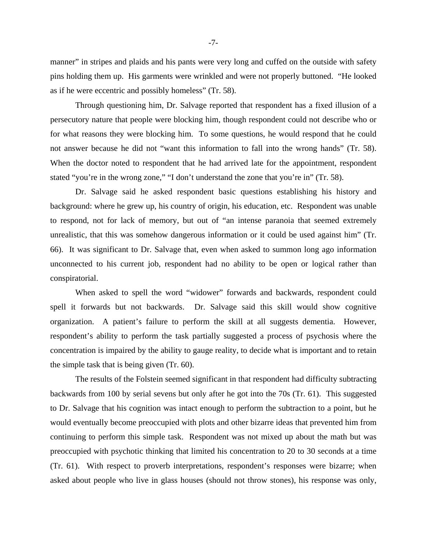manner" in stripes and plaids and his pants were very long and cuffed on the outside with safety pins holding them up. His garments were wrinkled and were not properly buttoned. "He looked as if he were eccentric and possibly homeless" (Tr. 58).

Through questioning him, Dr. Salvage reported that respondent has a fixed illusion of a persecutory nature that people were blocking him, though respondent could not describe who or for what reasons they were blocking him. To some questions, he would respond that he could not answer because he did not "want this information to fall into the wrong hands" (Tr. 58). When the doctor noted to respondent that he had arrived late for the appointment, respondent stated "you're in the wrong zone," "I don't understand the zone that you're in" (Tr. 58).

Dr. Salvage said he asked respondent basic questions establishing his history and background: where he grew up, his country of origin, his education, etc. Respondent was unable to respond, not for lack of memory, but out of "an intense paranoia that seemed extremely unrealistic, that this was somehow dangerous information or it could be used against him" (Tr. 66). It was significant to Dr. Salvage that, even when asked to summon long ago information unconnected to his current job, respondent had no ability to be open or logical rather than conspiratorial.

When asked to spell the word "widower" forwards and backwards, respondent could spell it forwards but not backwards. Dr. Salvage said this skill would show cognitive organization. A patient's failure to perform the skill at all suggests dementia. However, respondent's ability to perform the task partially suggested a process of psychosis where the concentration is impaired by the ability to gauge reality, to decide what is important and to retain the simple task that is being given (Tr. 60).

The results of the Folstein seemed significant in that respondent had difficulty subtracting backwards from 100 by serial sevens but only after he got into the 70s (Tr. 61). This suggested to Dr. Salvage that his cognition was intact enough to perform the subtraction to a point, but he would eventually become preoccupied with plots and other bizarre ideas that prevented him from continuing to perform this simple task. Respondent was not mixed up about the math but was preoccupied with psychotic thinking that limited his concentration to 20 to 30 seconds at a time (Tr. 61). With respect to proverb interpretations, respondent's responses were bizarre; when asked about people who live in glass houses (should not throw stones), his response was only,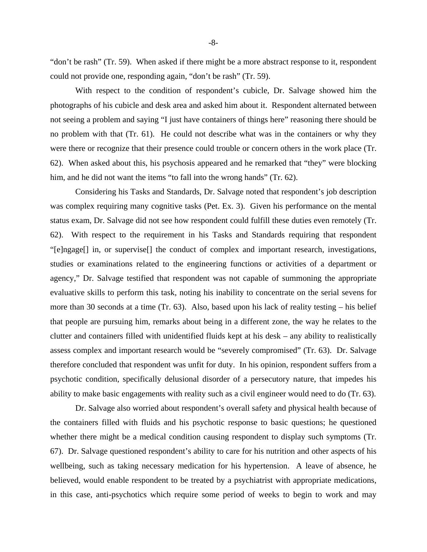"don't be rash" (Tr. 59). When asked if there might be a more abstract response to it, respondent could not provide one, responding again, "don't be rash" (Tr. 59).

With respect to the condition of respondent's cubicle, Dr. Salvage showed him the photographs of his cubicle and desk area and asked him about it. Respondent alternated between not seeing a problem and saying "I just have containers of things here" reasoning there should be no problem with that (Tr. 61). He could not describe what was in the containers or why they were there or recognize that their presence could trouble or concern others in the work place (Tr. 62). When asked about this, his psychosis appeared and he remarked that "they" were blocking him, and he did not want the items "to fall into the wrong hands" (Tr. 62).

Considering his Tasks and Standards, Dr. Salvage noted that respondent's job description was complex requiring many cognitive tasks (Pet. Ex. 3). Given his performance on the mental status exam, Dr. Salvage did not see how respondent could fulfill these duties even remotely (Tr. 62). With respect to the requirement in his Tasks and Standards requiring that respondent "[e]ngage[] in, or supervise[] the conduct of complex and important research, investigations, studies or examinations related to the engineering functions or activities of a department or agency," Dr. Salvage testified that respondent was not capable of summoning the appropriate evaluative skills to perform this task, noting his inability to concentrate on the serial sevens for more than 30 seconds at a time (Tr. 63). Also, based upon his lack of reality testing – his belief that people are pursuing him, remarks about being in a different zone, the way he relates to the clutter and containers filled with unidentified fluids kept at his desk – any ability to realistically assess complex and important research would be "severely compromised" (Tr. 63). Dr. Salvage therefore concluded that respondent was unfit for duty. In his opinion, respondent suffers from a psychotic condition, specifically delusional disorder of a persecutory nature, that impedes his ability to make basic engagements with reality such as a civil engineer would need to do (Tr. 63).

Dr. Salvage also worried about respondent's overall safety and physical health because of the containers filled with fluids and his psychotic response to basic questions; he questioned whether there might be a medical condition causing respondent to display such symptoms (Tr. 67). Dr. Salvage questioned respondent's ability to care for his nutrition and other aspects of his wellbeing, such as taking necessary medication for his hypertension. A leave of absence, he believed, would enable respondent to be treated by a psychiatrist with appropriate medications, in this case, anti-psychotics which require some period of weeks to begin to work and may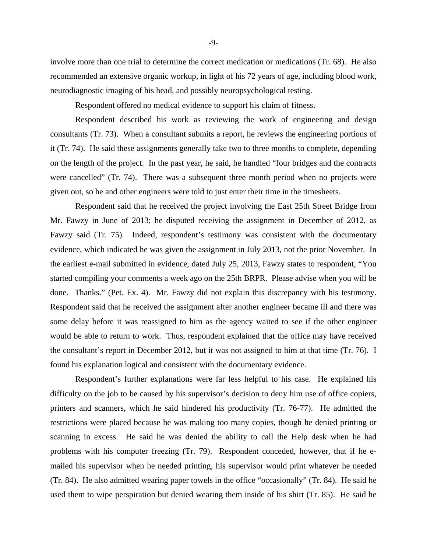involve more than one trial to determine the correct medication or medications (Tr. 68). He also recommended an extensive organic workup, in light of his 72 years of age, including blood work, neurodiagnostic imaging of his head, and possibly neuropsychological testing.

Respondent offered no medical evidence to support his claim of fitness.

Respondent described his work as reviewing the work of engineering and design consultants (Tr. 73). When a consultant submits a report, he reviews the engineering portions of it (Tr. 74). He said these assignments generally take two to three months to complete, depending on the length of the project. In the past year, he said, he handled "four bridges and the contracts were cancelled" (Tr. 74). There was a subsequent three month period when no projects were given out, so he and other engineers were told to just enter their time in the timesheets.

Respondent said that he received the project involving the East 25th Street Bridge from Mr. Fawzy in June of 2013; he disputed receiving the assignment in December of 2012, as Fawzy said (Tr. 75). Indeed, respondent's testimony was consistent with the documentary evidence, which indicated he was given the assignment in July 2013, not the prior November. In the earliest e-mail submitted in evidence, dated July 25, 2013, Fawzy states to respondent, "You started compiling your comments a week ago on the 25th BRPR. Please advise when you will be done. Thanks." (Pet. Ex. 4). Mr. Fawzy did not explain this discrepancy with his testimony. Respondent said that he received the assignment after another engineer became ill and there was some delay before it was reassigned to him as the agency waited to see if the other engineer would be able to return to work. Thus, respondent explained that the office may have received the consultant's report in December 2012, but it was not assigned to him at that time (Tr. 76). I found his explanation logical and consistent with the documentary evidence.

Respondent's further explanations were far less helpful to his case. He explained his difficulty on the job to be caused by his supervisor's decision to deny him use of office copiers, printers and scanners, which he said hindered his productivity (Tr. 76-77). He admitted the restrictions were placed because he was making too many copies, though he denied printing or scanning in excess. He said he was denied the ability to call the Help desk when he had problems with his computer freezing (Tr. 79). Respondent conceded, however, that if he emailed his supervisor when he needed printing, his supervisor would print whatever he needed (Tr. 84). He also admitted wearing paper towels in the office "occasionally" (Tr. 84). He said he used them to wipe perspiration but denied wearing them inside of his shirt (Tr. 85). He said he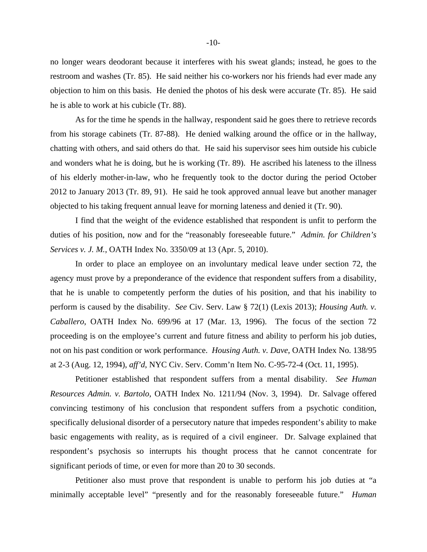no longer wears deodorant because it interferes with his sweat glands; instead, he goes to the restroom and washes (Tr. 85). He said neither his co-workers nor his friends had ever made any objection to him on this basis. He denied the photos of his desk were accurate (Tr. 85). He said he is able to work at his cubicle (Tr. 88).

As for the time he spends in the hallway, respondent said he goes there to retrieve records from his storage cabinets (Tr. 87-88). He denied walking around the office or in the hallway, chatting with others, and said others do that. He said his supervisor sees him outside his cubicle and wonders what he is doing, but he is working (Tr. 89). He ascribed his lateness to the illness of his elderly mother-in-law, who he frequently took to the doctor during the period October 2012 to January 2013 (Tr. 89, 91). He said he took approved annual leave but another manager objected to his taking frequent annual leave for morning lateness and denied it (Tr. 90).

I find that the weight of the evidence established that respondent is unfit to perform the duties of his position, now and for the "reasonably foreseeable future." *Admin. for Children's Services v. J. M.*, OATH Index No. 3350/09 at 13 (Apr. 5, 2010).

In order to place an employee on an involuntary medical leave under section 72, the agency must prove by a preponderance of the evidence that respondent suffers from a disability, that he is unable to competently perform the duties of his position, and that his inability to perform is caused by the disability. *See* Civ. Serv. Law § 72(1) (Lexis 2013); *Housing Auth. v. Caballero*, OATH Index No. 699/96 at 17 (Mar. 13, 1996). The focus of the section 72 proceeding is on the employee's current and future fitness and ability to perform his job duties, not on his past condition or work performance. *Housing Auth. v. Dave*, OATH Index No. 138/95 at 2-3 (Aug. 12, 1994), *aff'd*, NYC Civ. Serv. Comm'n Item No. C-95-72-4 (Oct. 11, 1995).

Petitioner established that respondent suffers from a mental disability. *See Human Resources Admin. v. Bartolo*, OATH Index No. 1211/94 (Nov. 3, 1994). Dr. Salvage offered convincing testimony of his conclusion that respondent suffers from a psychotic condition, specifically delusional disorder of a persecutory nature that impedes respondent's ability to make basic engagements with reality, as is required of a civil engineer. Dr. Salvage explained that respondent's psychosis so interrupts his thought process that he cannot concentrate for significant periods of time, or even for more than 20 to 30 seconds.

Petitioner also must prove that respondent is unable to perform his job duties at "a minimally acceptable level" "presently and for the reasonably foreseeable future." *Human*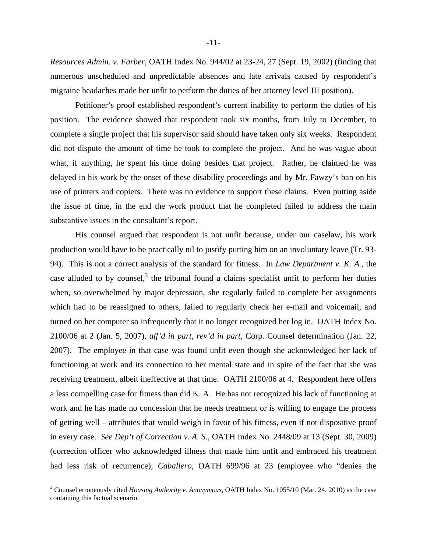*Resources Admin. v. Farber*, OATH Index No. 944/02 at 23-24, 27 (Sept. 19, 2002) (finding that numerous unscheduled and unpredictable absences and late arrivals caused by respondent's migraine headaches made her unfit to perform the duties of her attorney level III position).

Petitioner's proof established respondent's current inability to perform the duties of his position. The evidence showed that respondent took six months, from July to December, to complete a single project that his supervisor said should have taken only six weeks. Respondent did not dispute the amount of time he took to complete the project. And he was vague about what, if anything, he spent his time doing besides that project. Rather, he claimed he was delayed in his work by the onset of these disability proceedings and by Mr. Fawzy's ban on his use of printers and copiers. There was no evidence to support these claims. Even putting aside the issue of time, in the end the work product that he completed failed to address the main substantive issues in the consultant's report.

His counsel argued that respondent is not unfit because, under our caselaw, his work production would have to be practically nil to justify putting him on an involuntary leave (Tr. 93- 94). This is not a correct analysis of the standard for fitness. In *Law Department v. K. A.*, the case alluded to by counsel, $3$  the tribunal found a claims specialist unfit to perform her duties when, so overwhelmed by major depression, she regularly failed to complete her assignments which had to be reassigned to others, failed to regularly check her e-mail and voicemail, and turned on her computer so infrequently that it no longer recognized her log in. OATH Index No. 2100/06 at 2 (Jan. 5, 2007), *aff'd in part, rev'd in part*, Corp. Counsel determination (Jan. 22, 2007). The employee in that case was found unfit even though she acknowledged her lack of functioning at work and its connection to her mental state and in spite of the fact that she was receiving treatment, albeit ineffective at that time. OATH 2100/06 at 4. Respondent here offers a less compelling case for fitness than did K. A. He has not recognized his lack of functioning at work and he has made no concession that he needs treatment or is willing to engage the process of getting well – attributes that would weigh in favor of his fitness, even if not dispositive proof in every case. *See Dep't of Correction v. A. S.*, OATH Index No. 2448/09 at 13 (Sept. 30, 2009) (correction officer who acknowledged illness that made him unfit and embraced his treatment had less risk of recurrence); *Caballero*, OATH 699/96 at 23 (employee who "denies the

 $\overline{a}$ 

<sup>&</sup>lt;sup>3</sup> Counsel erroneously cited *Housing Authority v. Anonymous*, OATH Index No. 1055/10 (Mar. 24, 2010) as the case containing this factual scenario.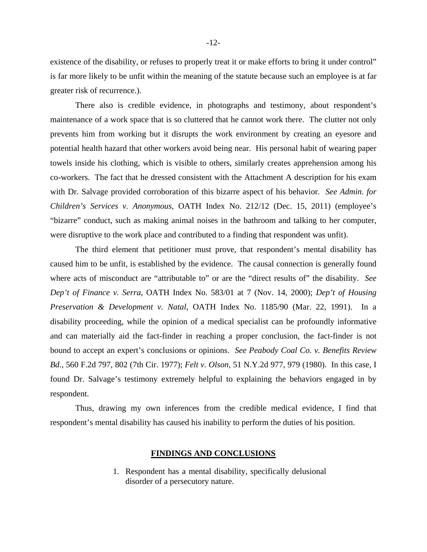existence of the disability, or refuses to properly treat it or make efforts to bring it under control" is far more likely to be unfit within the meaning of the statute because such an employee is at far greater risk of recurrence.).

There also is credible evidence, in photographs and testimony, about respondent's maintenance of a work space that is so cluttered that he cannot work there. The clutter not only prevents him from working but it disrupts the work environment by creating an eyesore and potential health hazard that other workers avoid being near. His personal habit of wearing paper towels inside his clothing, which is visible to others, similarly creates apprehension among his co-workers. The fact that he dressed consistent with the Attachment A description for his exam with Dr. Salvage provided corroboration of this bizarre aspect of his behavior. *See Admin. for Children's Services v. Anonymous*, OATH Index No. 212/12 (Dec. 15, 2011) (employee's "bizarre" conduct, such as making animal noises in the bathroom and talking to her computer, were disruptive to the work place and contributed to a finding that respondent was unfit).

The third element that petitioner must prove, that respondent's mental disability has caused him to be unfit, is established by the evidence. The causal connection is generally found where acts of misconduct are "attributable to" or are the "direct results of" the disability. *See Dep't of Finance v. Serra*, OATH Index No. 583/01 at 7 (Nov. 14, 2000); *Dep't of Housing Preservation & Development v. Natal*, OATH Index No. 1185/90 (Mar. 22, 1991). In a disability proceeding, while the opinion of a medical specialist can be profoundly informative and can materially aid the fact-finder in reaching a proper conclusion, the fact-finder is not bound to accept an expert's conclusions or opinions. *See Peabody Coal Co. v. Benefits Review Bd.*, 560 F.2d 797, 802 (7th Cir. 1977); *Felt v. Olson*, 51 N.Y.2d 977, 979 (1980). In this case, I found Dr. Salvage's testimony extremely helpful to explaining the behaviors engaged in by respondent.

Thus, drawing my own inferences from the credible medical evidence, I find that respondent's mental disability has caused his inability to perform the duties of his position.

#### **FINDINGS AND CONCLUSIONS**

1. Respondent has a mental disability, specifically delusional disorder of a persecutory nature.